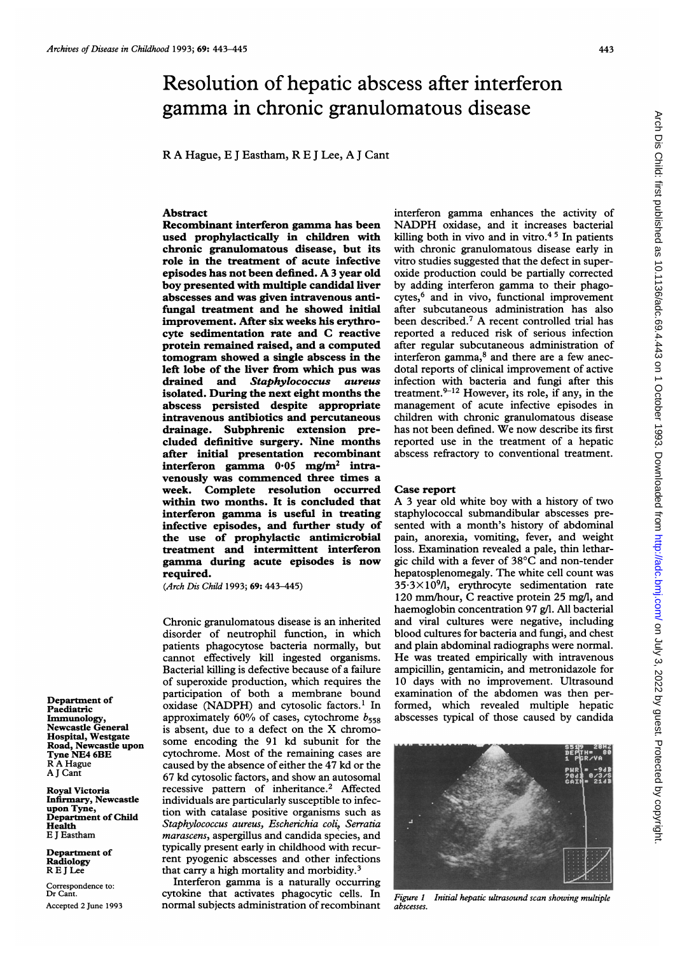# Resolution of hepatic abscess after interferon gamma in chronic granulomatous disease

R A Hague, E <sup>J</sup> Eastham, R E <sup>J</sup> Lee, A <sup>J</sup> Cant

#### Abstract

Recombinant interferon gamma has been used prophylactically in children with chronic granulomatous disease, but its role in the treatment of acute infective episodes has not been defined. A <sup>3</sup> year old boy presented with multiple candidal liver abscesses and was given intravenous antifungal treatment and he showed initial improvement. After six weeks his erythrocyte sedimentation rate and C reactive protein remained raised, and a computed tomogram showed a single abscess in the left lobe of the liver from which pus was drained and Staphylococcus aureus isolated. During the next eight months the abscess persisted despite appropriate intravenous antibiotics and percutaneous drainage. Subphrenic extension precluded definitive surgery. Nine months after initial presentation recombinant interferon gamma  $0.05$  mg/m<sup>2</sup> intravenously was commenced three times a week. Complete resolution occurred within two months. It is concluded that interferon gamma is useful in treating infective episodes, and further study of the use of prophylactic antimicrobial treatment and intermittent interferon gamma during acute episodes is now required.

(Arch Dis Child 1993; 69: 443-445)

Chronic granulomatous disease is an inherited disorder of neutrophil function, in which patients phagocytose bacteria normally, but cannot effectively kill ingested organisms. Bacterial killing is defective because of a failure of superoxide production, which requires the participation of both a membrane bound oxidase (NADPH) and cytosolic factors.' In approximately 60% of cases, cytochrome  $b_{558}$ is absent, due to <sup>a</sup> defect on the X chromosome encoding the 91 kd subunit for the cytochrome. Most of the remaining cases are caused by the absence of either the 47 kd or the 67 kd cytosolic factors, and show an autosomal recessive pattern of inheritance.2 Affected individuals are particularly susceptible to infection with catalase positive organisms such as Staphylococcus aureus, Escherichia coli, Serratia marascens, aspergillus and candida species, and typically present early in childhood with recurrent pyogenic abscesses and other infections that carry a high mortality and morbidity.<sup>3</sup>

Interferon gamma is <sup>a</sup> naturally occurring cytokine that activates phagocytic cells. In normal subjects administration of recombinant

interferon gamma enhances the activity of NADPH oxidase, and it increases bacterial killing both in vivo and in vitro. $45$  In patients with chronic granulomatous disease early in vitro studies suggested that the defect in superoxide production could be partially corrected by adding interferon gamma to their phagocytes,<sup>6</sup> and in vivo, functional improvement after subcutaneous administration has also been described.7 A recent controlled trial has reported a reduced risk of serious infection after regular subcutaneous administration of interferon gamma,<sup>8</sup> and there are a few anecdotal reports of clinical improvement of active infection with bacteria and fungi after this treatment. $9-12$  However, its role, if any, in the management of acute infective episodes in children with chronic granulomatous disease has not been defined. We now describe its first reported use in the treatment of a hepatic abscess refractory to conventional treatment.

### Case report

A <sup>3</sup> year old white boy with <sup>a</sup> history of two staphylococcal submandibular abscesses presented with a month's history of abdominal pain, anorexia, vomiting, fever, and weight loss. Examination revealed a pale, thin lethargic child with a fever of 38°C and non-tender hepatosplenomegaly. The white cell count was  $35.3\times10^{9}$ /l, erythrocyte sedimentation rate 120 mm/hour, C reactive protein 25 mg/l, and haemoglobin concentration 97 g/l. All bacterial and viral cultures were negative, including blood cultures for bacteria and fungi, and chest and plain abdominal radiographs were normal. He was treated empirically with intravenous ampicillin, gentamicin, and metronidazole for 10 days with no improvement. Ultrasound examination of the abdomen was then performed, which revealed multiple hepatic abscesses typical of those caused by candida



Figure 1 Initial hepatic ultrasound scan showing multiple abscesses.

Department of Paediatric Immunology, Newcastle General Hospital, Westgate Road, Newcastle upon Tyne NE4 6BE R A Hague A <sup>J</sup> Cant

Royal Victoria Infirmary, Newcastle upon Tyne, Department of Child Health E <sup>J</sup> Eastham

Department of Radiology REJLee

Correspondence to: Dr Cant. Accepted 2 June 1993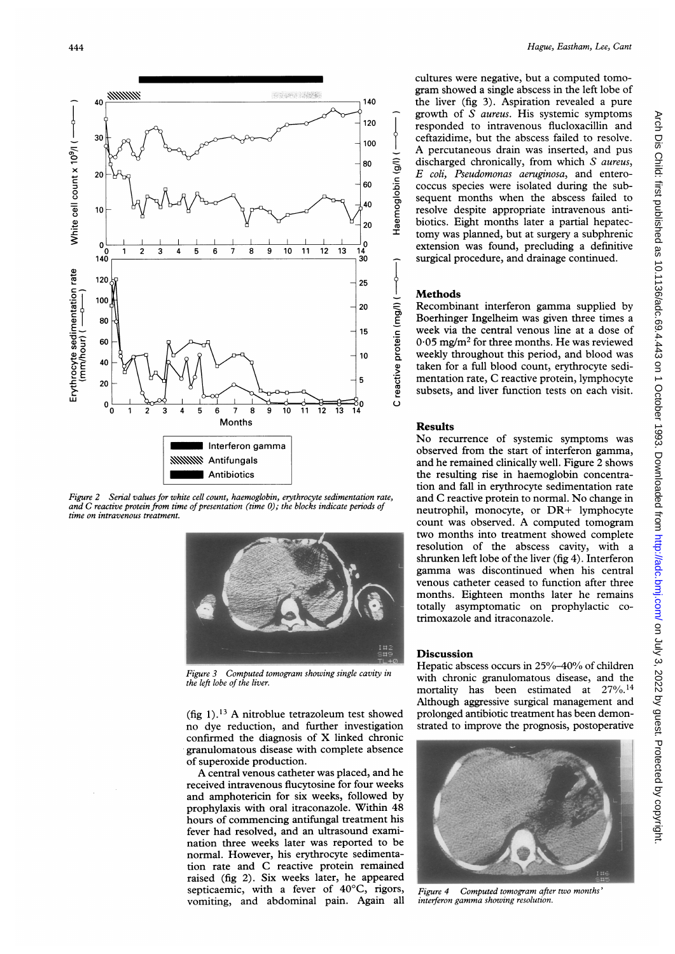

Figure 2 Serial values for white cell count, haemoglobin, erythrocyte sedimentation rate, and  $C$  reactive protein from time of presentation (time  $0$ ); the blocks indicate periods of time on intravenous treatment.



Figure 3 Computed tomogram showing single cavity in the left lobe of the liver.

(fig 1). $^{13}$  A nitroblue tetrazoleum test showed no dye reduction, and further investigation confirmed the diagnosis of X linked chronic granulomatous disease with complete absence of superoxide production.

A central venous catheter was placed, and he received intravenous flucytosine for four weeks and amphotericin for six weeks, followed by prophylaxis with oral itraconazole. Within 48 hours of commencing antifungal treatment his fever had resolved, and an ultrasound examination three weeks later was reported to be normal. However, his erythrocyte sedimentation rate and C reactive protein remained raised (fig 2). Six weeks later, he appeared septicaemic, with a fever of 40°C, rigors, vomiting, and abdominal pain. Again all cultures were negative, but a computed tomogram showed a single abscess in the left lobe of the liver (fig 3). Aspiration revealed a pure growth of S aureus. His systemic symptoms responded to intravenous flucloxacillin and ceftazidime, but the abscess failed to resolve. A percutaneous drain was inserted, and pus discharged chronically, from which S aureus, E coli, Pseudomonas aeruginosa, and enterococcus species were isolated during the subsequent months when the abscess failed to resolve despite appropriate intravenous antibiotics. Eight months later a partial hepatectomy was planned, but at surgery a subphrenic extension was found, precluding a definitive surgical procedure, and drainage continued.

#### **Methods**

I ਰੋ c  $\frac{5}{10}$ aemo<sub>;</sub>

0) E

<u>a</u>

ደ

Recombinant interferon gamma supplied by Boerhinger Ingelheim was given three times a week via the central venous line at a dose of  $0.05$  mg/m<sup>2</sup> for three months. He was reviewed weekly throughout this period, and blood was taken for a full blood count, erythrocyte sedimentation rate, C reactive protein, lymphocyte subsets, and liver function tests on each visit.

## Results

No recurrence of systemic symptoms was observed from the start of interferon gamma, and he remained clinically well. Figure 2 shows the resulting rise in haemoglobin concentration and fall in erythrocyte sedimentation rate and C reactive protein to normal. No change in neutrophil, monocyte, or DR+ lymphocyte count was observed. A computed tomogram two months into treatment showed complete resolution of the abscess cavity, with a shrunken left lobe of the liver (fig 4). Interferon gamma was discontinued when his central venous catheter ceased to function after three months. Eighteen months later he remains totally asymptomatic on prophylactic cotrimoxazole and itraconazole.

#### **Discussion**

Hepatic abscess occurs in 25%-40% of children with chronic granulomatous disease, and the mortality has been estimated at 27%.14 Although aggressive surgical management and prolonged antibiotic treatment has been demonstrated to improve the prognosis, postoperative



Figure 4 Computed tomogram after two months' interferon gamma showing resolution.